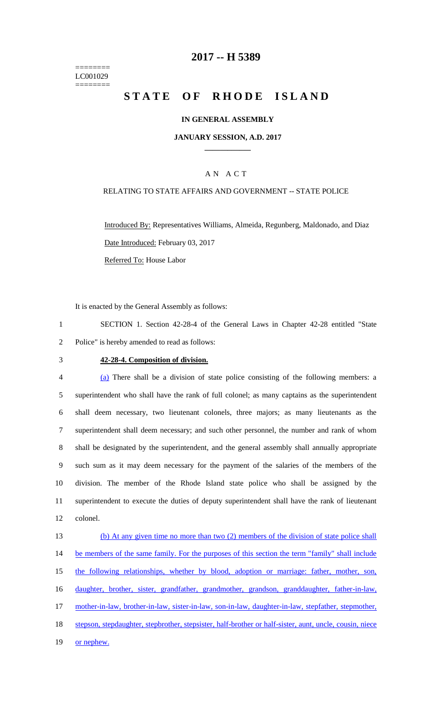======== LC001029 ========

## **2017 -- H 5389**

# STATE OF RHODE ISLAND

### **IN GENERAL ASSEMBLY**

### **JANUARY SESSION, A.D. 2017 \_\_\_\_\_\_\_\_\_\_\_\_**

## A N A C T

### RELATING TO STATE AFFAIRS AND GOVERNMENT -- STATE POLICE

Introduced By: Representatives Williams, Almeida, Regunberg, Maldonado, and Diaz Date Introduced: February 03, 2017 Referred To: House Labor

It is enacted by the General Assembly as follows:

1 SECTION 1. Section 42-28-4 of the General Laws in Chapter 42-28 entitled "State 2 Police" is hereby amended to read as follows:

#### 3 **42-28-4. Composition of division.**

 (a) There shall be a division of state police consisting of the following members: a superintendent who shall have the rank of full colonel; as many captains as the superintendent shall deem necessary, two lieutenant colonels, three majors; as many lieutenants as the superintendent shall deem necessary; and such other personnel, the number and rank of whom shall be designated by the superintendent, and the general assembly shall annually appropriate such sum as it may deem necessary for the payment of the salaries of the members of the division. The member of the Rhode Island state police who shall be assigned by the superintendent to execute the duties of deputy superintendent shall have the rank of lieutenant 12 colonel.

13 (b) At any given time no more than two (2) members of the division of state police shall 14 be members of the same family. For the purposes of this section the term "family" shall include 15 the following relationships, whether by blood, adoption or marriage: father, mother, son, 16 daughter, brother, sister, grandfather, grandmother, grandson, granddaughter, father-in-law, 17 mother-in-law, brother-in-law, sister-in-law, son-in-law, daughter-in-law, stepfather, stepmother, 18 stepson, stepdaughter, stepbrother, stepsister, half-brother or half-sister, aunt, uncle, cousin, niece 19 or nephew.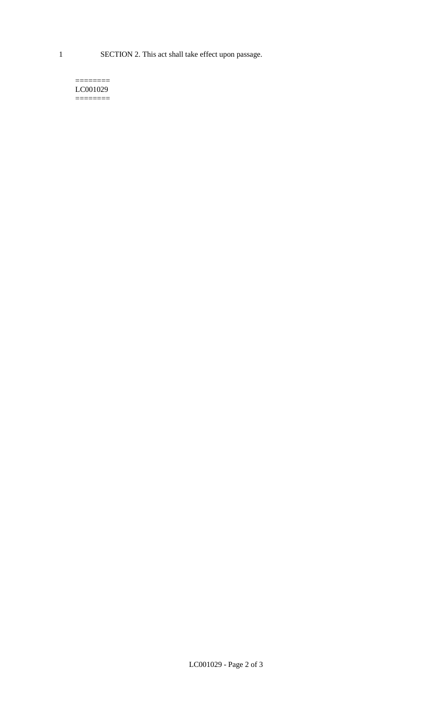1 SECTION 2. This act shall take effect upon passage.

#### $=$ LC001029  $=$